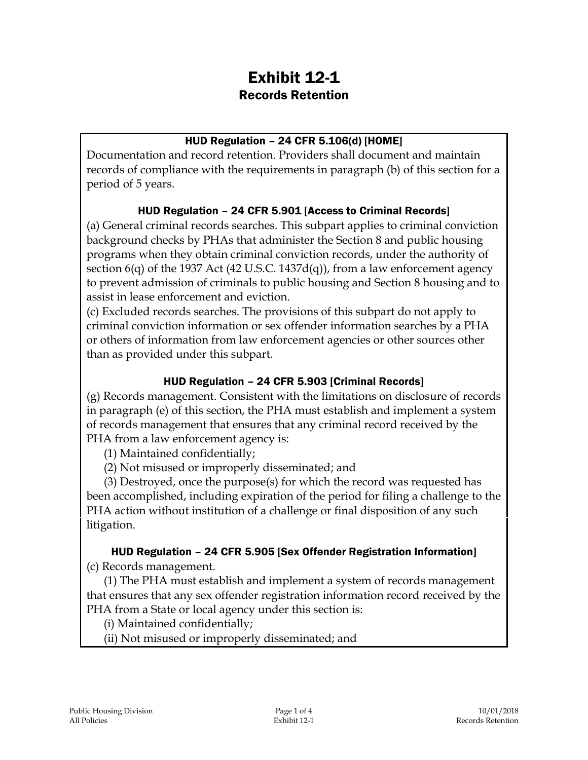# Exhibit 12-1 Records Retention

## HUD Regulation – 24 CFR 5.106(d) [HOME]

Documentation and record retention. Providers shall document and maintain records of compliance with the requirements in paragraph (b) of this section for a period of 5 years.

#### HUD Regulation – 24 CFR 5.901 [Access to Criminal Records]

(a) General criminal records searches. This subpart applies to criminal conviction background checks by PHAs that administer the Section 8 and public housing programs when they obtain criminal conviction records, under the authority of section  $6(q)$  of the 1937 Act (42 U.S.C. 1437d $(q)$ ), from a law enforcement agency to prevent admission of criminals to public housing and Section 8 housing and to assist in lease enforcement and eviction.

(c) Excluded records searches. The provisions of this subpart do not apply to criminal conviction information or sex offender information searches by a PHA or others of information from law enforcement agencies or other sources other than as provided under this subpart.

#### HUD Regulation – 24 CFR 5.903 [Criminal Records]

(g) Records management. Consistent with the limitations on disclosure of records in paragraph (e) of this section, the PHA must establish and implement a system of records management that ensures that any criminal record received by the PHA from a law enforcement agency is:

(1) Maintained confidentially;

(2) Not misused or improperly disseminated; and

(3) Destroyed, once the purpose(s) for which the record was requested has been accomplished, including expiration of the period for filing a challenge to the PHA action without institution of a challenge or final disposition of any such litigation.

## HUD Regulation – 24 CFR 5.905 [Sex Offender Registration Information]

(c) Records management.

(1) The PHA must establish and implement a system of records management that ensures that any sex offender registration information record received by the PHA from a State or local agency under this section is:

(i) Maintained confidentially;

(ii) Not misused or improperly disseminated; and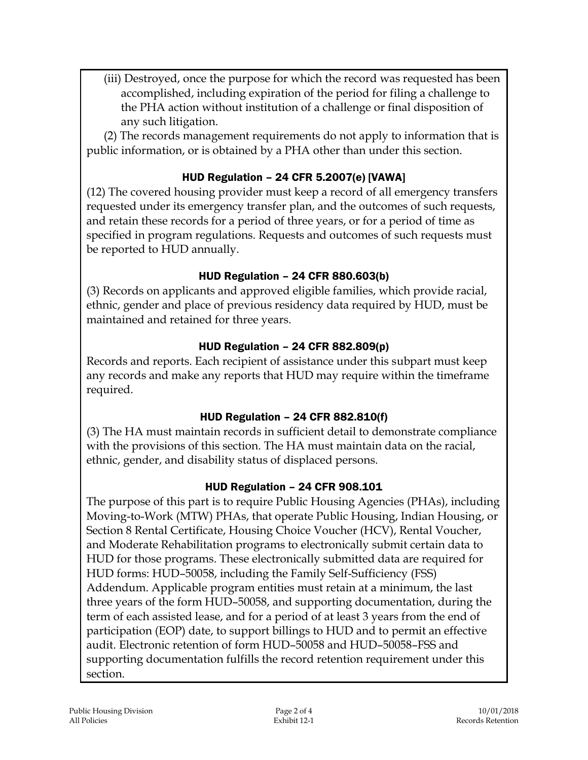(iii) Destroyed, once the purpose for which the record was requested has been accomplished, including expiration of the period for filing a challenge to the PHA action without institution of a challenge or final disposition of any such litigation.

(2) The records management requirements do not apply to information that is public information, or is obtained by a PHA other than under this section.

## HUD Regulation – 24 CFR 5.2007(e) [VAWA]

(12) The covered housing provider must keep a record of all emergency transfers requested under its emergency transfer plan, and the outcomes of such requests, and retain these records for a period of three years, or for a period of time as specified in program regulations. Requests and outcomes of such requests must be reported to HUD annually.

## HUD Regulation – 24 CFR 880.603(b)

(3) Records on applicants and approved eligible families, which provide racial, ethnic, gender and place of previous residency data required by HUD, must be maintained and retained for three years.

## HUD Regulation – 24 CFR 882.809(p)

Records and reports. Each recipient of assistance under this subpart must keep any records and make any reports that HUD may require within the timeframe required.

## HUD Regulation – 24 CFR 882.810(f)

(3) The HA must maintain records in sufficient detail to demonstrate compliance with the provisions of this section. The HA must maintain data on the racial, ethnic, gender, and disability status of displaced persons.

## HUD Regulation – 24 CFR 908.101

The purpose of this part is to require Public Housing Agencies (PHAs), including Moving-to-Work (MTW) PHAs, that operate Public Housing, Indian Housing, or Section 8 Rental Certificate, Housing Choice Voucher (HCV), Rental Voucher, and Moderate Rehabilitation programs to electronically submit certain data to HUD for those programs. These electronically submitted data are required for HUD forms: HUD–50058, including the Family Self-Sufficiency (FSS) Addendum. Applicable program entities must retain at a minimum, the last three years of the form HUD–50058, and supporting documentation, during the term of each assisted lease, and for a period of at least 3 years from the end of participation (EOP) date, to support billings to HUD and to permit an effective audit. Electronic retention of form HUD–50058 and HUD–50058–FSS and supporting documentation fulfills the record retention requirement under this section.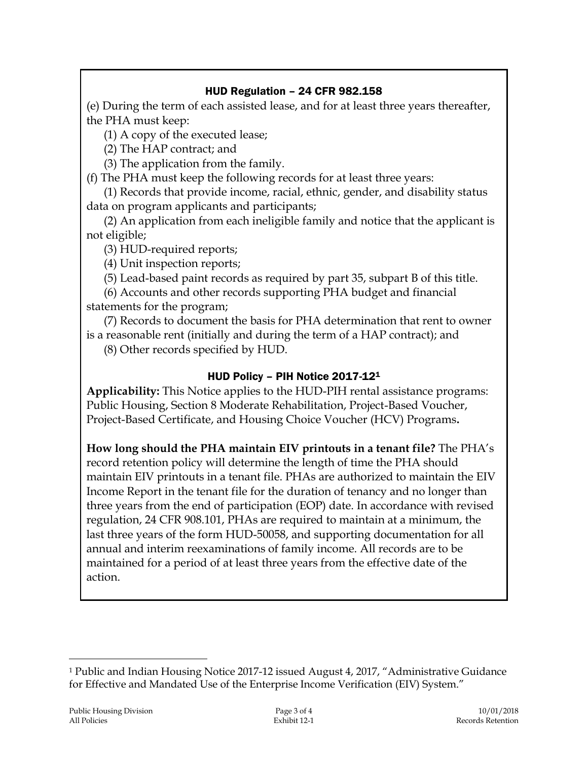## HUD Regulation – 24 CFR 982.158

(e) During the term of each assisted lease, and for at least three years thereafter, the PHA must keep:

(1) A copy of the executed lease;

(2) The HAP contract; and

(3) The application from the family.

(f) The PHA must keep the following records for at least three years:

(1) Records that provide income, racial, ethnic, gender, and disability status data on program applicants and participants;

(2) An application from each ineligible family and notice that the applicant is not eligible;

(3) HUD-required reports;

(4) Unit inspection reports;

(5) Lead-based paint records as required by part 35, subpart B of this title.

(6) Accounts and other records supporting PHA budget and financial statements for the program;

(7) Records to document the basis for PHA determination that rent to owner is a reasonable rent (initially and during the term of a HAP contract); and

(8) Other records specified by HUD.

## HUD Policy – PIH Notice 2017-12<sup>1</sup>

**Applicability:** This Notice applies to the HUD-PIH rental assistance programs: Public Housing, Section 8 Moderate Rehabilitation, Project-Based Voucher, Project-Based Certificate, and Housing Choice Voucher (HCV) Programs**.** 

**How long should the PHA maintain EIV printouts in a tenant file?** The PHA's record retention policy will determine the length of time the PHA should maintain EIV printouts in a tenant file. PHAs are authorized to maintain the EIV Income Report in the tenant file for the duration of tenancy and no longer than three years from the end of participation (EOP) date. In accordance with revised regulation, 24 CFR 908.101, PHAs are required to maintain at a minimum, the last three years of the form HUD-50058, and supporting documentation for all annual and interim reexaminations of family income. All records are to be maintained for a period of at least three years from the effective date of the action.

 $\overline{a}$ 

<sup>1</sup> Public and Indian Housing Notice 2017-12 issued August 4, 2017, "Administrative Guidance for Effective and Mandated Use of the Enterprise Income Verification (EIV) System."